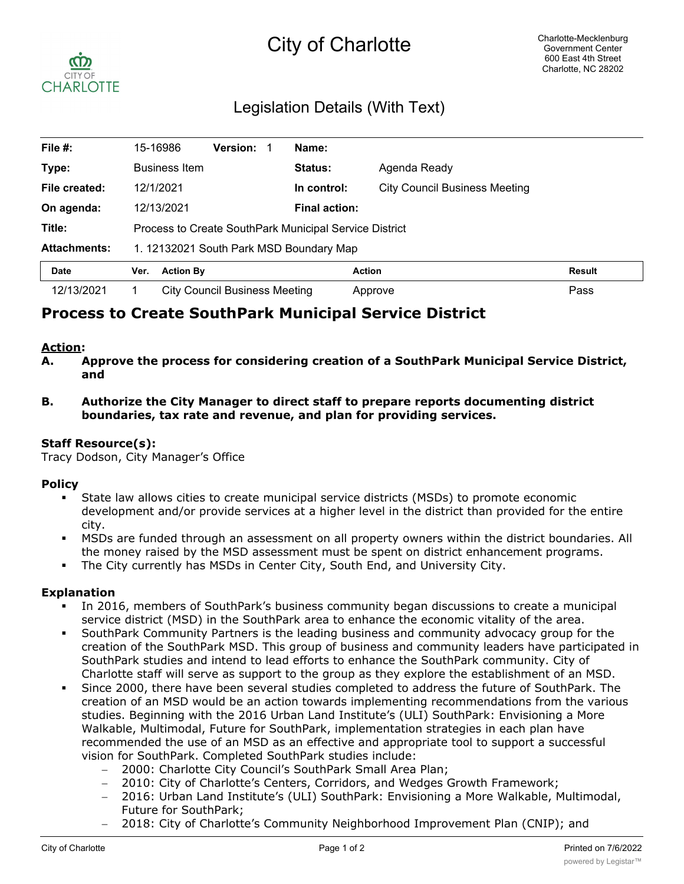# City of Charlotte



# Legislation Details (With Text)

| File #:             | 15-16986                                               | <b>Version:</b>               | Name:                |                                      |        |
|---------------------|--------------------------------------------------------|-------------------------------|----------------------|--------------------------------------|--------|
| Type:               | <b>Business Item</b>                                   |                               | Status:              | Agenda Ready                         |        |
| File created:       | 12/1/2021                                              |                               | In control:          | <b>City Council Business Meeting</b> |        |
| On agenda:          | 12/13/2021                                             |                               | <b>Final action:</b> |                                      |        |
| Title:              | Process to Create SouthPark Municipal Service District |                               |                      |                                      |        |
| <b>Attachments:</b> | 1. 12132021 South Park MSD Boundary Map                |                               |                      |                                      |        |
| <b>Date</b>         | <b>Action By</b><br>Ver.                               |                               |                      | <b>Action</b>                        | Result |
| 12/13/2021          |                                                        | City Council Business Meeting |                      | Approve                              | Pass   |

# **Process to Create SouthPark Municipal Service District**

## **Action:**

- **A. Approve the process for considering creation of a SouthPark Municipal Service District, and**
- **B. Authorize the City Manager to direct staff to prepare reports documenting district boundaries, tax rate and revenue, and plan for providing services.**

#### **Staff Resource(s):**

Tracy Dodson, City Manager's Office

## **Policy**

- § State law allows cities to create municipal service districts (MSDs) to promote economic development and/or provide services at a higher level in the district than provided for the entire city.
- **MSDs are funded through an assessment on all property owners within the district boundaries. All** the money raised by the MSD assessment must be spent on district enhancement programs.
- The City currently has MSDs in Center City, South End, and University City.

# **Explanation**

- In 2016, members of SouthPark's business community began discussions to create a municipal service district (MSD) in the SouthPark area to enhance the economic vitality of the area.
- § SouthPark Community Partners is the leading business and community advocacy group for the creation of the SouthPark MSD. This group of business and community leaders have participated in SouthPark studies and intend to lead efforts to enhance the SouthPark community. City of Charlotte staff will serve as support to the group as they explore the establishment of an MSD.
- Since 2000, there have been several studies completed to address the future of SouthPark. The creation of an MSD would be an action towards implementing recommendations from the various studies. Beginning with the 2016 Urban Land Institute's (ULI) SouthPark: Envisioning a More Walkable, Multimodal, Future for SouthPark, implementation strategies in each plan have recommended the use of an MSD as an effective and appropriate tool to support a successful vision for SouthPark. Completed SouthPark studies include:
	- 2000: Charlotte City Council's SouthPark Small Area Plan;
	- 2010: City of Charlotte's Centers, Corridors, and Wedges Growth Framework;
	- 2016: Urban Land Institute's (ULI) SouthPark: Envisioning a More Walkable, Multimodal, Future for SouthPark;
	- 2018: City of Charlotte's Community Neighborhood Improvement Plan (CNIP); and